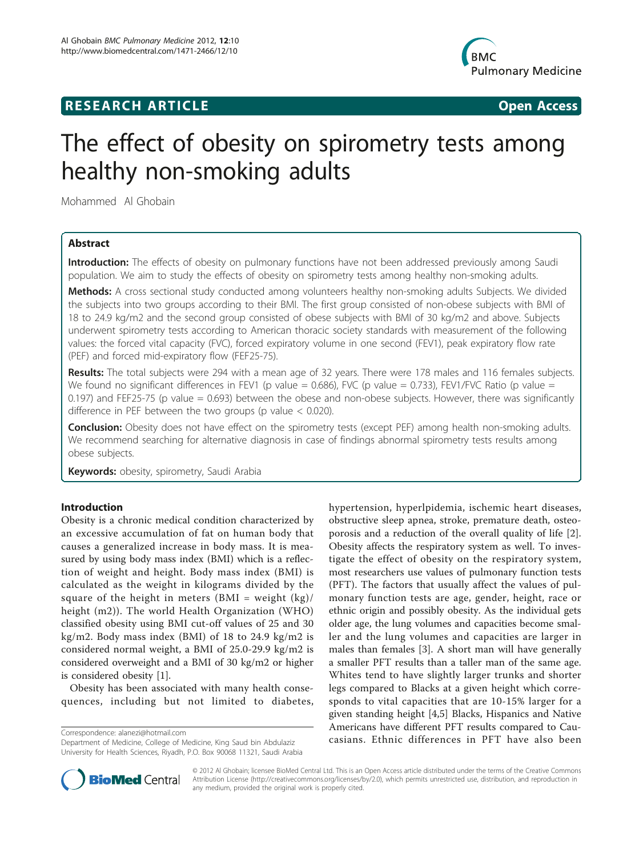## RESEARCH ARTICLE **External of the Contract Open Access**



# The effect of obesity on spirometry tests among healthy non-smoking adults

Mohammed Al Ghobain

## Abstract

Introduction: The effects of obesity on pulmonary functions have not been addressed previously among Saudi population. We aim to study the effects of obesity on spirometry tests among healthy non-smoking adults.

Methods: A cross sectional study conducted among volunteers healthy non-smoking adults Subjects. We divided the subjects into two groups according to their BMI. The first group consisted of non-obese subjects with BMI of 18 to 24.9 kg/m2 and the second group consisted of obese subjects with BMI of 30 kg/m2 and above. Subjects underwent spirometry tests according to American thoracic society standards with measurement of the following values: the forced vital capacity (FVC), forced expiratory volume in one second (FEV1), peak expiratory flow rate (PEF) and forced mid-expiratory flow (FEF25-75).

Results: The total subjects were 294 with a mean age of 32 years. There were 178 males and 116 females subjects. We found no significant differences in FEV1 (p value = 0.686), FVC (p value = 0.733), FEV1/FVC Ratio (p value = 0.197) and FEF25-75 (p value = 0.693) between the obese and non-obese subjects. However, there was significantly difference in PEF between the two groups (p value < 0.020).

**Conclusion:** Obesity does not have effect on the spirometry tests (except PEF) among health non-smoking adults. We recommend searching for alternative diagnosis in case of findings abnormal spirometry tests results among obese subjects.

**Keywords:** obesity, spirometry, Saudi Arabia

## Introduction

Obesity is a chronic medical condition characterized by an excessive accumulation of fat on human body that causes a generalized increase in body mass. It is measured by using body mass index (BMI) which is a reflection of weight and height. Body mass index (BMI) is calculated as the weight in kilograms divided by the square of the height in meters  $(BMI = weight (kg)/$ height (m2)). The world Health Organization (WHO) classified obesity using BMI cut-off values of 25 and 30 kg/m2. Body mass index (BMI) of 18 to 24.9 kg/m2 is considered normal weight, a BMI of 25.0-29.9 kg/m2 is considered overweight and a BMI of 30 kg/m2 or higher is considered obesity [\[1](#page-4-0)].

Obesity has been associated with many health consequences, including but not limited to diabetes,

Department of Medicine, College of Medicine, King Saud bin Abdulaziz University for Health Sciences, Riyadh, P.O. Box 90068 11321, Saudi Arabia

hypertension, hyperlpidemia, ischemic heart diseases, obstructive sleep apnea, stroke, premature death, osteoporosis and a reduction of the overall quality of life [\[2](#page-4-0)]. Obesity affects the respiratory system as well. To investigate the effect of obesity on the respiratory system, most researchers use values of pulmonary function tests (PFT). The factors that usually affect the values of pulmonary function tests are age, gender, height, race or ethnic origin and possibly obesity. As the individual gets older age, the lung volumes and capacities become smaller and the lung volumes and capacities are larger in males than females [[3\]](#page-4-0). A short man will have generally a smaller PFT results than a taller man of the same age. Whites tend to have slightly larger trunks and shorter legs compared to Blacks at a given height which corresponds to vital capacities that are 10-15% larger for a given standing height [\[4,5](#page-4-0)] Blacks, Hispanics and Native Americans have different PFT results compared to Caucasians. Ethnic differences in PFT have also been Correspondence: [alanezi@hotmail.com](mailto:alanezi@hotmail.com)



© 2012 Al Ghobain; licensee BioMed Central Ltd. This is an Open Access article distributed under the terms of the Creative Commons Attribution License [\(http://creativecommons.org/licenses/by/2.0](http://creativecommons.org/licenses/by/2.0)), which permits unrestricted use, distribution, and reproduction in any medium, provided the original work is properly cited.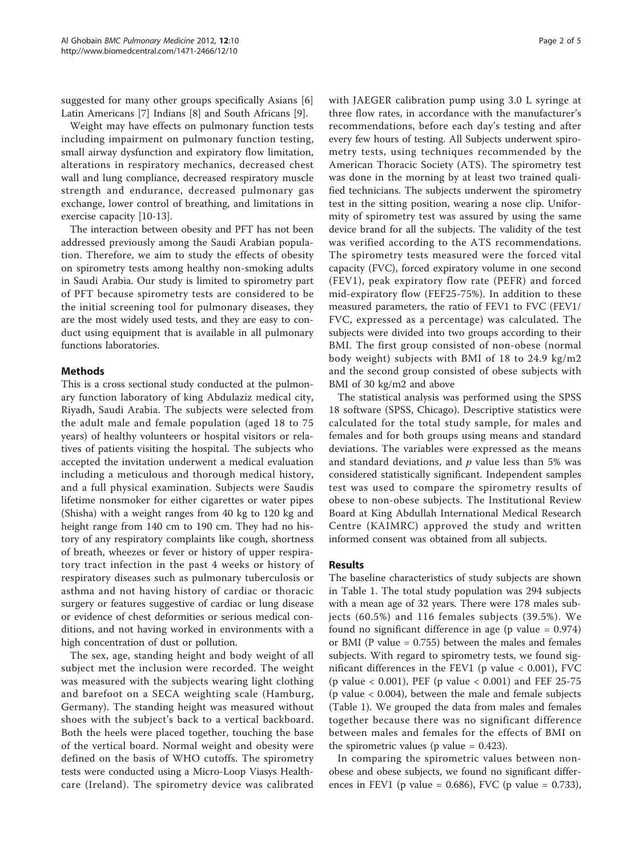suggested for many other groups specifically Asians [\[6](#page-4-0)] Latin Americans [[7\]](#page-4-0) Indians [\[8](#page-4-0)] and South Africans [\[9](#page-4-0)].

Weight may have effects on pulmonary function tests including impairment on pulmonary function testing, small airway dysfunction and expiratory flow limitation, alterations in respiratory mechanics, decreased chest wall and lung compliance, decreased respiratory muscle strength and endurance, decreased pulmonary gas exchange, lower control of breathing, and limitations in exercise capacity [\[10](#page-4-0)-[13](#page-4-0)].

The interaction between obesity and PFT has not been addressed previously among the Saudi Arabian population. Therefore, we aim to study the effects of obesity on spirometry tests among healthy non-smoking adults in Saudi Arabia. Our study is limited to spirometry part of PFT because spirometry tests are considered to be the initial screening tool for pulmonary diseases, they are the most widely used tests, and they are easy to conduct using equipment that is available in all pulmonary functions laboratories.

## Methods

This is a cross sectional study conducted at the pulmonary function laboratory of king Abdulaziz medical city, Riyadh, Saudi Arabia. The subjects were selected from the adult male and female population (aged 18 to 75 years) of healthy volunteers or hospital visitors or relatives of patients visiting the hospital. The subjects who accepted the invitation underwent a medical evaluation including a meticulous and thorough medical history, and a full physical examination. Subjects were Saudis lifetime nonsmoker for either cigarettes or water pipes (Shisha) with a weight ranges from 40 kg to 120 kg and height range from 140 cm to 190 cm. They had no history of any respiratory complaints like cough, shortness of breath, wheezes or fever or history of upper respiratory tract infection in the past 4 weeks or history of respiratory diseases such as pulmonary tuberculosis or asthma and not having history of cardiac or thoracic surgery or features suggestive of cardiac or lung disease or evidence of chest deformities or serious medical conditions, and not having worked in environments with a high concentration of dust or pollution.

The sex, age, standing height and body weight of all subject met the inclusion were recorded. The weight was measured with the subjects wearing light clothing and barefoot on a SECA weighting scale (Hamburg, Germany). The standing height was measured without shoes with the subject's back to a vertical backboard. Both the heels were placed together, touching the base of the vertical board. Normal weight and obesity were defined on the basis of WHO cutoffs. The spirometry tests were conducted using a Micro-Loop Viasys Healthcare (Ireland). The spirometry device was calibrated with JAEGER calibration pump using 3.0 L syringe at three flow rates, in accordance with the manufacturer's recommendations, before each day's testing and after every few hours of testing. All Subjects underwent spirometry tests, using techniques recommended by the American Thoracic Society (ATS). The spirometry test was done in the morning by at least two trained qualified technicians. The subjects underwent the spirometry test in the sitting position, wearing a nose clip. Uniformity of spirometry test was assured by using the same device brand for all the subjects. The validity of the test was verified according to the ATS recommendations. The spirometry tests measured were the forced vital capacity (FVC), forced expiratory volume in one second (FEV1), peak expiratory flow rate (PEFR) and forced mid-expiratory flow (FEF25-75%). In addition to these measured parameters, the ratio of FEV1 to FVC (FEV1/ FVC, expressed as a percentage) was calculated. The subjects were divided into two groups according to their BMI. The first group consisted of non-obese (normal body weight) subjects with BMI of 18 to 24.9 kg/m2 and the second group consisted of obese subjects with BMI of 30 kg/m2 and above

The statistical analysis was performed using the SPSS 18 software (SPSS, Chicago). Descriptive statistics were calculated for the total study sample, for males and females and for both groups using means and standard deviations. The variables were expressed as the means and standard deviations, and  $p$  value less than 5% was considered statistically significant. Independent samples test was used to compare the spirometry results of obese to non-obese subjects. The Institutional Review Board at King Abdullah International Medical Research Centre (KAIMRC) approved the study and written informed consent was obtained from all subjects.

## Results

The baseline characteristics of study subjects are shown in Table [1.](#page-2-0) The total study population was 294 subjects with a mean age of 32 years. There were 178 males subjects (60.5%) and 116 females subjects (39.5%). We found no significant difference in age (p value  $= 0.974$ ) or BMI (P value = 0.755) between the males and females subjects. With regard to spirometry tests, we found significant differences in the FEV1 (p value < 0.001), FVC (p value < 0.001), PEF (p value < 0.001) and FEF 25-75 (p value < 0.004), between the male and female subjects (Table [1](#page-2-0)). We grouped the data from males and females together because there was no significant difference between males and females for the effects of BMI on the spirometric values (p value  $= 0.423$ ).

In comparing the spirometric values between nonobese and obese subjects, we found no significant differences in FEV1 (p value =  $0.686$ ), FVC (p value =  $0.733$ ),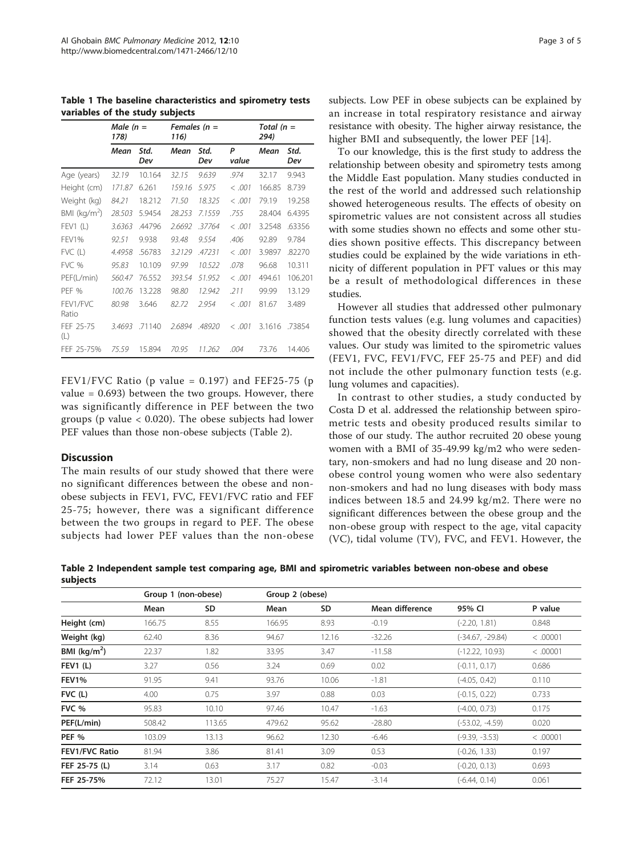<span id="page-2-0"></span>Table 1 The baseline characteristics and spirometry tests variables of the study subjects

|                          | Male $(n =$<br>178) |             | Females $(n =$<br>116) |             | Total (n =<br>294) |        |             |
|--------------------------|---------------------|-------------|------------------------|-------------|--------------------|--------|-------------|
|                          | Mean                | Std.<br>Dev | Mean                   | Std.<br>Dev | P<br>value         | Mean   | Std.<br>Dev |
| Age (years)              | 32.19               | 10.164      | 32.15                  | 9.639       | .974               | 32.17  | 9.943       |
| Height (cm)              | 171.87              | 6.261       | 159.16                 | 5.975       | < .001             | 166.85 | 8.739       |
| Weight (kg)              | 84.21               | 18.212      | 71.50                  | 18.325      | < .001             | 79.19  | 19.258      |
| BMI (kg/m <sup>2</sup> ) | 28.503              | 5.9454      | 28.253                 | 7.1559      | .755               | 28.404 | 6.4395      |
| FEV1(L)                  | 3.6363              | .44796      | 2.6692                 | .37764      | < .001             | 3.2548 | .63356      |
| FEV1%                    | 92.51               | 9.938       | 93.48                  | 9.554       | .406               | 92.89  | 9.784       |
| $FVC$ (L)                | 4.4958              | .56783      | 3.2129                 | .47231      | < .001             | 3.9897 | .82270      |
| FVC %                    | 95.83               | 10.109      | 97.99                  | 10.522      | .078               | 96.68  | 10.311      |
| PEF(L/min)               | 560.47              | 76.552      | 393.54                 | 51.952      | < .001             | 494.61 | 106.201     |
| PEF %                    | 100.76              | 13.228      | 98.80                  | 12.942      | .211               | 99.99  | 13.129      |
| FEV1/FVC<br>Ratio        | 80.98               | 3.646       | 82.72                  | 2.954       | < .001             | 81.67  | 3.489       |
| FEF 25-75<br>(L)         | 3.4693              | .71140      | 2.6894                 | .48920      | < .001             | 3.1616 | .73854      |
| FEF 25-75%               | 75.59               | 15.894      | 70.95                  | 11.262      | .004               | 73.76  | 14.406      |

FEV1/FVC Ratio (p value =  $0.197$ ) and FEF25-75 (p value  $= 0.693$ ) between the two groups. However, there was significantly difference in PEF between the two groups (p value  $< 0.020$ ). The obese subjects had lower PEF values than those non-obese subjects (Table 2).

## **Discussion**

The main results of our study showed that there were no significant differences between the obese and nonobese subjects in FEV1, FVC, FEV1/FVC ratio and FEF 25-75; however, there was a significant difference between the two groups in regard to PEF. The obese subjects had lower PEF values than the non-obese

subjects. Low PEF in obese subjects can be explained by an increase in total respiratory resistance and airway resistance with obesity. The higher airway resistance, the higher BMI and subsequently, the lower PEF [[14](#page-4-0)].

To our knowledge, this is the first study to address the relationship between obesity and spirometry tests among the Middle East population. Many studies conducted in the rest of the world and addressed such relationship showed heterogeneous results. The effects of obesity on spirometric values are not consistent across all studies with some studies shown no effects and some other studies shown positive effects. This discrepancy between studies could be explained by the wide variations in ethnicity of different population in PFT values or this may be a result of methodological differences in these studies.

However all studies that addressed other pulmonary function tests values (e.g. lung volumes and capacities) showed that the obesity directly correlated with these values. Our study was limited to the spirometric values (FEV1, FVC, FEV1/FVC, FEF 25-75 and PEF) and did not include the other pulmonary function tests (e.g. lung volumes and capacities).

In contrast to other studies, a study conducted by Costa D et al. addressed the relationship between spirometric tests and obesity produced results similar to those of our study. The author recruited 20 obese young women with a BMI of 35-49.99 kg/m2 who were sedentary, non-smokers and had no lung disease and 20 nonobese control young women who were also sedentary non-smokers and had no lung diseases with body mass indices between 18.5 and 24.99 kg/m2. There were no significant differences between the obese group and the non-obese group with respect to the age, vital capacity (VC), tidal volume (TV), FVC, and FEV1. However, the

Table 2 Independent sample test comparing age, BMI and spirometric variables between non-obese and obese subjects

|                         | Group 1 (non-obese) |        | Group 2 (obese) |       |                 |                    |          |
|-------------------------|---------------------|--------|-----------------|-------|-----------------|--------------------|----------|
|                         | Mean                | SD     | Mean            | SD    | Mean difference | 95% CI             | P value  |
| Height (cm)             | 166.75              | 8.55   | 166.95          | 8.93  | $-0.19$         | $(-2.20, 1.81)$    | 0.848    |
| Weight (kg)             | 62.40               | 8.36   | 94.67           | 12.16 | $-32.26$        | $(-34.67, -29.84)$ | < .00001 |
| BMI ( $\text{kg/m}^2$ ) | 22.37               | 1.82   | 33.95           | 3.47  | $-11.58$        | $(-12.22, 10.93)$  | < .00001 |
| FEV1(L)                 | 3.27                | 0.56   | 3.24            | 0.69  | 0.02            | $(-0.11, 0.17)$    | 0.686    |
| FEV1%                   | 91.95               | 9.41   | 93.76           | 10.06 | $-1.81$         | $(-4.05, 0.42)$    | 0.110    |
| $FVC$ (L)               | 4.00                | 0.75   | 3.97            | 0.88  | 0.03            | $(-0.15, 0.22)$    | 0.733    |
| FVC %                   | 95.83               | 10.10  | 97.46           | 10.47 | $-1.63$         | $(-4.00, 0.73)$    | 0.175    |
| PEF(L/min)              | 508.42              | 113.65 | 479.62          | 95.62 | $-28.80$        | (-53.02, -4.59)    | 0.020    |
| PEF %                   | 103.09              | 13.13  | 96.62           | 12.30 | $-6.46$         | $(-9.39, -3.53)$   | < .00001 |
| <b>FEV1/FVC Ratio</b>   | 81.94               | 3.86   | 81.41           | 3.09  | 0.53            | $(-0.26, 1.33)$    | 0.197    |
| FEF 25-75 (L)           | 3.14                | 0.63   | 3.17            | 0.82  | $-0.03$         | $(-0.20, 0.13)$    | 0.693    |
| FEF 25-75%              | 72.12               | 13.01  | 75.27           | 15.47 | $-3.14$         | $(-6.44, 0.14)$    | 0.061    |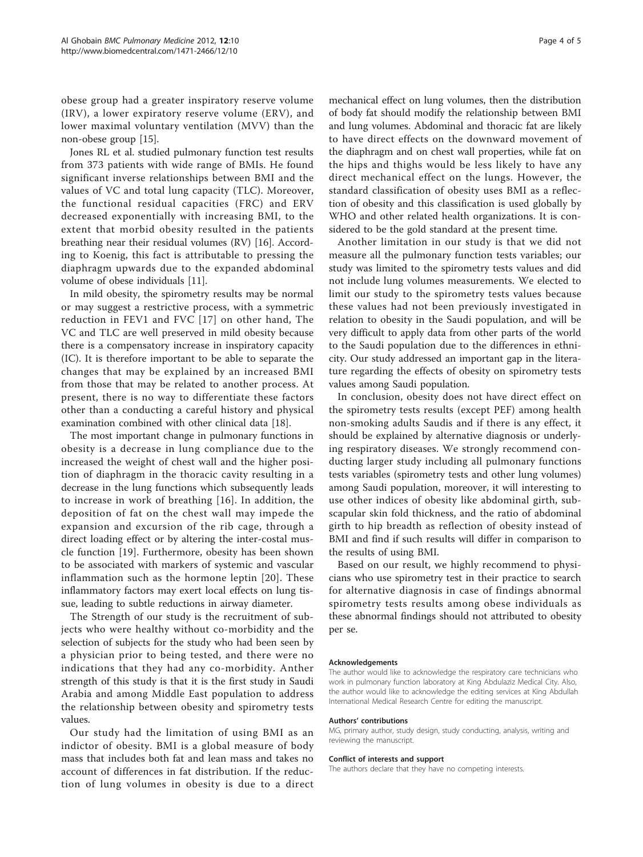obese group had a greater inspiratory reserve volume (IRV), a lower expiratory reserve volume (ERV), and lower maximal voluntary ventilation (MVV) than the non-obese group [\[15](#page-4-0)].

Jones RL et al. studied pulmonary function test results from 373 patients with wide range of BMIs. He found significant inverse relationships between BMI and the values of VC and total lung capacity (TLC). Moreover, the functional residual capacities (FRC) and ERV decreased exponentially with increasing BMI, to the extent that morbid obesity resulted in the patients breathing near their residual volumes (RV) [\[16\]](#page-4-0). According to Koenig, this fact is attributable to pressing the diaphragm upwards due to the expanded abdominal volume of obese individuals [\[11\]](#page-4-0).

In mild obesity, the spirometry results may be normal or may suggest a restrictive process, with a symmetric reduction in FEV1 and FVC [[17\]](#page-4-0) on other hand, The VC and TLC are well preserved in mild obesity because there is a compensatory increase in inspiratory capacity (IC). It is therefore important to be able to separate the changes that may be explained by an increased BMI from those that may be related to another process. At present, there is no way to differentiate these factors other than a conducting a careful history and physical examination combined with other clinical data [[18\]](#page-4-0).

The most important change in pulmonary functions in obesity is a decrease in lung compliance due to the increased the weight of chest wall and the higher position of diaphragm in the thoracic cavity resulting in a decrease in the lung functions which subsequently leads to increase in work of breathing [[16\]](#page-4-0). In addition, the deposition of fat on the chest wall may impede the expansion and excursion of the rib cage, through a direct loading effect or by altering the inter-costal muscle function [\[19](#page-4-0)]. Furthermore, obesity has been shown to be associated with markers of systemic and vascular inflammation such as the hormone leptin [\[20\]](#page-4-0). These inflammatory factors may exert local effects on lung tissue, leading to subtle reductions in airway diameter.

The Strength of our study is the recruitment of subjects who were healthy without co-morbidity and the selection of subjects for the study who had been seen by a physician prior to being tested, and there were no indications that they had any co-morbidity. Anther strength of this study is that it is the first study in Saudi Arabia and among Middle East population to address the relationship between obesity and spirometry tests values.

Our study had the limitation of using BMI as an indictor of obesity. BMI is a global measure of body mass that includes both fat and lean mass and takes no account of differences in fat distribution. If the reduction of lung volumes in obesity is due to a direct

mechanical effect on lung volumes, then the distribution of body fat should modify the relationship between BMI and lung volumes. Abdominal and thoracic fat are likely to have direct effects on the downward movement of the diaphragm and on chest wall properties, while fat on the hips and thighs would be less likely to have any direct mechanical effect on the lungs. However, the standard classification of obesity uses BMI as a reflection of obesity and this classification is used globally by WHO and other related health organizations. It is considered to be the gold standard at the present time.

Another limitation in our study is that we did not measure all the pulmonary function tests variables; our study was limited to the spirometry tests values and did not include lung volumes measurements. We elected to limit our study to the spirometry tests values because these values had not been previously investigated in relation to obesity in the Saudi population, and will be very difficult to apply data from other parts of the world to the Saudi population due to the differences in ethnicity. Our study addressed an important gap in the literature regarding the effects of obesity on spirometry tests values among Saudi population.

In conclusion, obesity does not have direct effect on the spirometry tests results (except PEF) among health non-smoking adults Saudis and if there is any effect, it should be explained by alternative diagnosis or underlying respiratory diseases. We strongly recommend conducting larger study including all pulmonary functions tests variables (spirometry tests and other lung volumes) among Saudi population, moreover, it will interesting to use other indices of obesity like abdominal girth, subscapular skin fold thickness, and the ratio of abdominal girth to hip breadth as reflection of obesity instead of BMI and find if such results will differ in comparison to the results of using BMI.

Based on our result, we highly recommend to physicians who use spirometry test in their practice to search for alternative diagnosis in case of findings abnormal spirometry tests results among obese individuals as these abnormal findings should not attributed to obesity per se.

#### Acknowledgements

The author would like to acknowledge the respiratory care technicians who work in pulmonary function laboratory at King Abdulaziz Medical City. Also, the author would like to acknowledge the editing services at King Abdullah International Medical Research Centre for editing the manuscript.

#### Authors' contributions

MG, primary author, study design, study conducting, analysis, writing and reviewing the manuscript.

#### Conflict of interests and support

The authors declare that they have no competing interests.